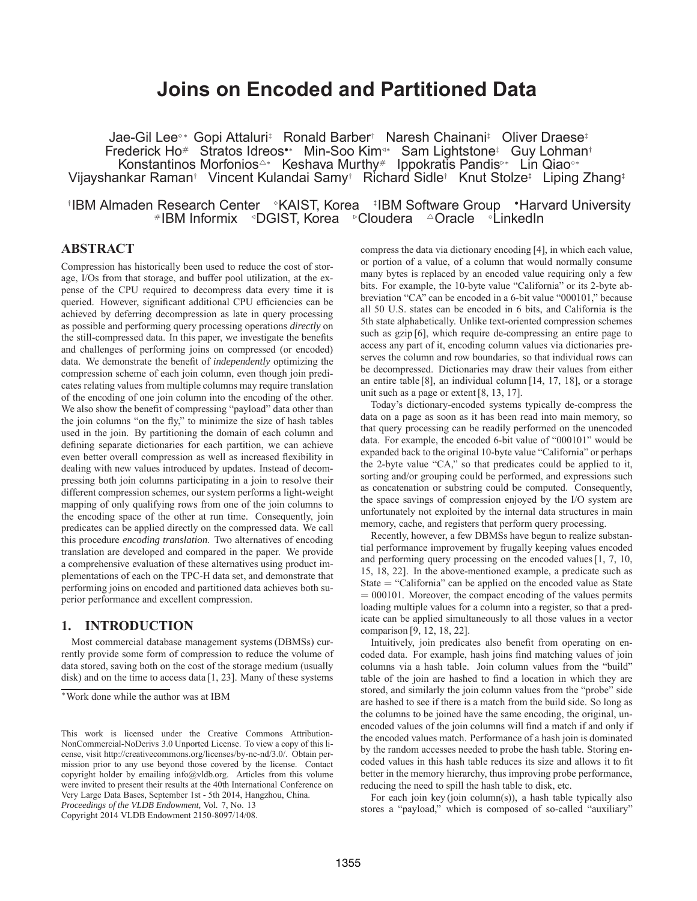# **Joins on Encoded and Partitioned Data**

Jae-Gil Lee<sup></sup>\* Gopi Attaluri‡ Ronald Barber† Naresh Chainani‡ Oliver Draese‡ Frederick Ho# Stratos Idreos•∗ Min-Soo Kim<sup>4</sup>\* Sam Lightstone‡ Guy Lohman<sup>†</sup> Konstantinos Morfonios<sup>∆</sup>∗ Keshava Murthy<sup>#</sup> Ippokratis Pandis<sup>⊳∗</sup> Lin Qiao<sup>∘</sup>∗ Vijayshankar Raman† Vincent Kulandai Samy† Richard Sidle† Knut Stolze‡ Liping Zhang‡

†IBM Almaden Research Center -KAIST, Korea ‡IBM Software Group •Harvard University #IBM Informix △DGIST, Korea ▷Cloudera △Oracle △LinkedIn

# **ABSTRACT**

Compression has historically been used to reduce the cost of storage, I/Os from that storage, and buffer pool utilization, at the expense of the CPU required to decompress data every time it is queried. However, significant additional CPU efficiencies can be achieved by deferring decompression as late in query processing as possible and performing query processing operations *directly* on the still-compressed data. In this paper, we investigate the benefits and challenges of performing joins on compressed (or encoded) data. We demonstrate the benefit of *independently* optimizing the compression scheme of each join column, even though join predicates relating values from multiple columns may require translation of the encoding of one join column into the encoding of the other. We also show the benefit of compressing "payload" data other than the join columns "on the fly," to minimize the size of hash tables used in the join. By partitioning the domain of each column and defining separate dictionaries for each partition, we can achieve even better overall compression as well as increased flexibility in dealing with new values introduced by updates. Instead of decompressing both join columns participating in a join to resolve their different compression schemes, our system performs a light-weight mapping of only qualifying rows from one of the join columns to the encoding space of the other at run time. Consequently, join predicates can be applied directly on the compressed data. We call this procedure *encoding translation*. Two alternatives of encoding translation are developed and compared in the paper. We provide a comprehensive evaluation of these alternatives using product implementations of each on the TPC-H data set, and demonstrate that performing joins on encoded and partitioned data achieves both superior performance and excellent compression.

# **1. INTRODUCTION**

Most commercial database management systems (DBMSs) currently provide some form of compression to reduce the volume of data stored, saving both on the cost of the storage medium (usually disk) and on the time to access data [1, 23]. Many of these systems

*Proceedings of the VLDB Endowment,* Vol. 7, No. 13

Copyright 2014 VLDB Endowment 2150-8097/14/08.

compress the data via dictionary encoding [4], in which each value, or portion of a value, of a column that would normally consume many bytes is replaced by an encoded value requiring only a few bits. For example, the 10-byte value "California" or its 2-byte abbreviation "CA" can be encoded in a 6-bit value "000101," because all 50 U.S. states can be encoded in 6 bits, and California is the 5th state alphabetically. Unlike text-oriented compression schemes such as gzip [6], which require de-compressing an entire page to access any part of it, encoding column values via dictionaries preserves the column and row boundaries, so that individual rows can be decompressed. Dictionaries may draw their values from either an entire table [8], an individual column [14, 17, 18], or a storage unit such as a page or extent [8, 13, 17].

Today's dictionary-encoded systems typically de-compress the data on a page as soon as it has been read into main memory, so that query processing can be readily performed on the unencoded data. For example, the encoded 6-bit value of "000101" would be expanded back to the original 10-byte value "California" or perhaps the 2-byte value "CA," so that predicates could be applied to it, sorting and/or grouping could be performed, and expressions such as concatenation or substring could be computed. Consequently, the space savings of compression enjoyed by the I/O system are unfortunately not exploited by the internal data structures in main memory, cache, and registers that perform query processing.

Recently, however, a few DBMSs have begun to realize substantial performance improvement by frugally keeping values encoded and performing query processing on the encoded values [1, 7, 10, 15, 18, 22]. In the above-mentioned example, a predicate such as State = "California" can be applied on the encoded value as State  $= 000101$ . Moreover, the compact encoding of the values permits loading multiple values for a column into a register, so that a predicate can be applied simultaneously to all those values in a vector comparison [9, 12, 18, 22].

Intuitively, join predicates also benefit from operating on encoded data. For example, hash joins find matching values of join columns via a hash table. Join column values from the "build" table of the join are hashed to find a location in which they are stored, and similarly the join column values from the "probe" side are hashed to see if there is a match from the build side. So long as the columns to be joined have the same encoding, the original, unencoded values of the join columns will find a match if and only if the encoded values match. Performance of a hash join is dominated by the random accesses needed to probe the hash table. Storing encoded values in this hash table reduces its size and allows it to fit better in the memory hierarchy, thus improving probe performance, reducing the need to spill the hash table to disk, etc.

For each join key (join column(s)), a hash table typically also stores a "payload," which is composed of so-called "auxiliary"

<sup>∗</sup>Work done while the author was at IBM

This work is licensed under the Creative Commons Attribution-NonCommercial-NoDerivs 3.0 Unported License. To view a copy of this license, visit http://creativecommons.org/licenses/by-nc-nd/3.0/. Obtain permission prior to any use beyond those covered by the license. Contact copyright holder by emailing info@vldb.org. Articles from this volume were invited to present their results at the 40th International Conference on Very Large Data Bases, September 1st - 5th 2014, Hangzhou, China.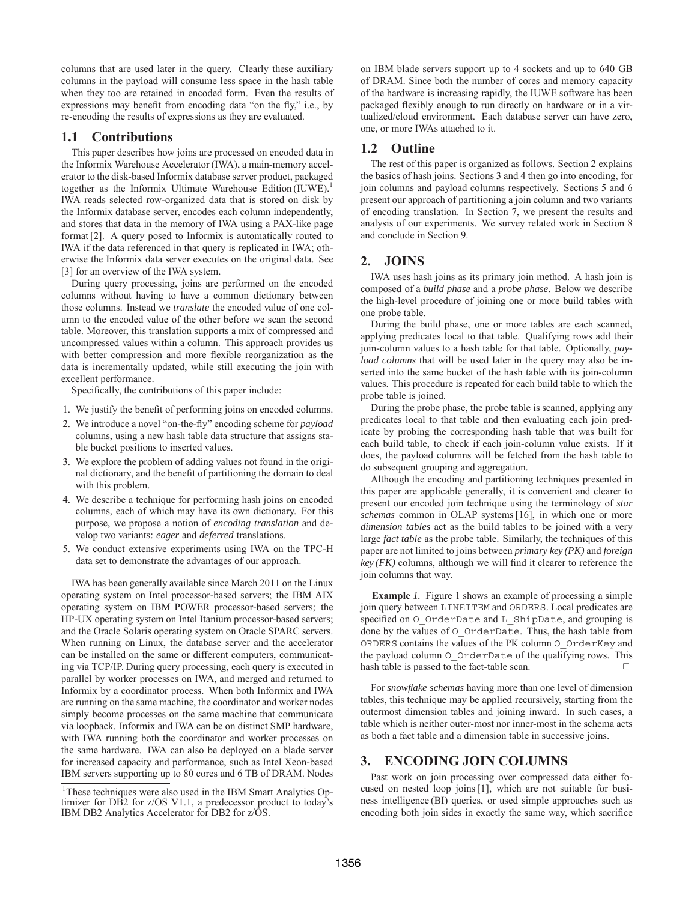columns that are used later in the query. Clearly these auxiliary columns in the payload will consume less space in the hash table when they too are retained in encoded form. Even the results of expressions may benefit from encoding data "on the fly," i.e., by re-encoding the results of expressions as they are evaluated.

# **1.1 Contributions**

This paper describes how joins are processed on encoded data in the Informix Warehouse Accelerator (IWA), a main-memory accelerator to the disk-based Informix database server product, packaged together as the Informix Ultimate Warehouse Edition (IUWE).<sup>1</sup> IWA reads selected row-organized data that is stored on disk by the Informix database server, encodes each column independently, and stores that data in the memory of IWA using a PAX-like page format [2]. A query posed to Informix is automatically routed to IWA if the data referenced in that query is replicated in IWA; otherwise the Informix data server executes on the original data. See [3] for an overview of the IWA system.

During query processing, joins are performed on the encoded columns without having to have a common dictionary between those columns. Instead we *translate* the encoded value of one column to the encoded value of the other before we scan the second table. Moreover, this translation supports a mix of compressed and uncompressed values within a column. This approach provides us with better compression and more flexible reorganization as the data is incrementally updated, while still executing the join with excellent performance.

Specifically, the contributions of this paper include:

- 1. We justify the benefit of performing joins on encoded columns.
- 2. We introduce a novel "on-the-fly" encoding scheme for *payload* columns, using a new hash table data structure that assigns stable bucket positions to inserted values.
- 3. We explore the problem of adding values not found in the original dictionary, and the benefit of partitioning the domain to deal with this problem.
- 4. We describe a technique for performing hash joins on encoded columns, each of which may have its own dictionary. For this purpose, we propose a notion of *encoding translation* and develop two variants: *eager* and *deferred* translations.
- 5. We conduct extensive experiments using IWA on the TPC-H data set to demonstrate the advantages of our approach.

IWA has been generally available since March 2011 on the Linux operating system on Intel processor-based servers; the IBM AIX operating system on IBM POWER processor-based servers; the HP-UX operating system on Intel Itanium processor-based servers; and the Oracle Solaris operating system on Oracle SPARC servers. When running on Linux, the database server and the accelerator can be installed on the same or different computers, communicating via TCP/IP. During query processing, each query is executed in parallel by worker processes on IWA, and merged and returned to Informix by a coordinator process. When both Informix and IWA are running on the same machine, the coordinator and worker nodes simply become processes on the same machine that communicate via loopback. Informix and IWA can be on distinct SMP hardware, with IWA running both the coordinator and worker processes on the same hardware. IWA can also be deployed on a blade server for increased capacity and performance, such as Intel Xeon-based IBM servers supporting up to 80 cores and 6 TB of DRAM. Nodes on IBM blade servers support up to 4 sockets and up to 640 GB of DRAM. Since both the number of cores and memory capacity of the hardware is increasing rapidly, the IUWE software has been packaged flexibly enough to run directly on hardware or in a virtualized/cloud environment. Each database server can have zero, one, or more IWAs attached to it.

# **1.2 Outline**

The rest of this paper is organized as follows. Section 2 explains the basics of hash joins. Sections 3 and 4 then go into encoding, for join columns and payload columns respectively. Sections 5 and 6 present our approach of partitioning a join column and two variants of encoding translation. In Section 7, we present the results and analysis of our experiments. We survey related work in Section 8 and conclude in Section 9.

# **2. JOINS**

IWA uses hash joins as its primary join method. A hash join is composed of a *build phase* and a *probe phase*. Below we describe the high-level procedure of joining one or more build tables with one probe table.

During the build phase, one or more tables are each scanned, applying predicates local to that table. Qualifying rows add their join-column values to a hash table for that table. Optionally, *payload columns* that will be used later in the query may also be inserted into the same bucket of the hash table with its join-column values. This procedure is repeated for each build table to which the probe table is joined.

During the probe phase, the probe table is scanned, applying any predicates local to that table and then evaluating each join predicate by probing the corresponding hash table that was built for each build table, to check if each join-column value exists. If it does, the payload columns will be fetched from the hash table to do subsequent grouping and aggregation.

Although the encoding and partitioning techniques presented in this paper are applicable generally, it is convenient and clearer to present our encoded join technique using the terminology of *star schemas* common in OLAP systems [16], in which one or more *dimension tables* act as the build tables to be joined with a very large *fact table* as the probe table. Similarly, the techniques of this paper are not limited to joins between *primary key (PK)* and *foreign key (FK)* columns, although we will find it clearer to reference the join columns that way.

**Example** *1.* Figure 1 shows an example of processing a simple join query between LINEITEM and ORDERS. Local predicates are specified on O\_OrderDate and L\_ShipDate, and grouping is done by the values of O\_OrderDate. Thus, the hash table from ORDERS contains the values of the PK column O\_OrderKey and the payload column O\_OrderDate of the qualifying rows. This hash table is passed to the fact-table scan.

For *snowflake schemas* having more than one level of dimension tables, this technique may be applied recursively, starting from the outermost dimension tables and joining inward. In such cases, a table which is neither outer-most nor inner-most in the schema acts as both a fact table and a dimension table in successive joins.

# **3. ENCODING JOIN COLUMNS**

Past work on join processing over compressed data either focused on nested loop joins [1], which are not suitable for business intelligence (BI) queries, or used simple approaches such as encoding both join sides in exactly the same way, which sacrifice

<sup>&</sup>lt;sup>1</sup>These techniques were also used in the IBM Smart Analytics Optimizer for DB2 for z/OS V1.1, a predecessor product to today's IBM DB2 Analytics Accelerator for DB2 for z/OS.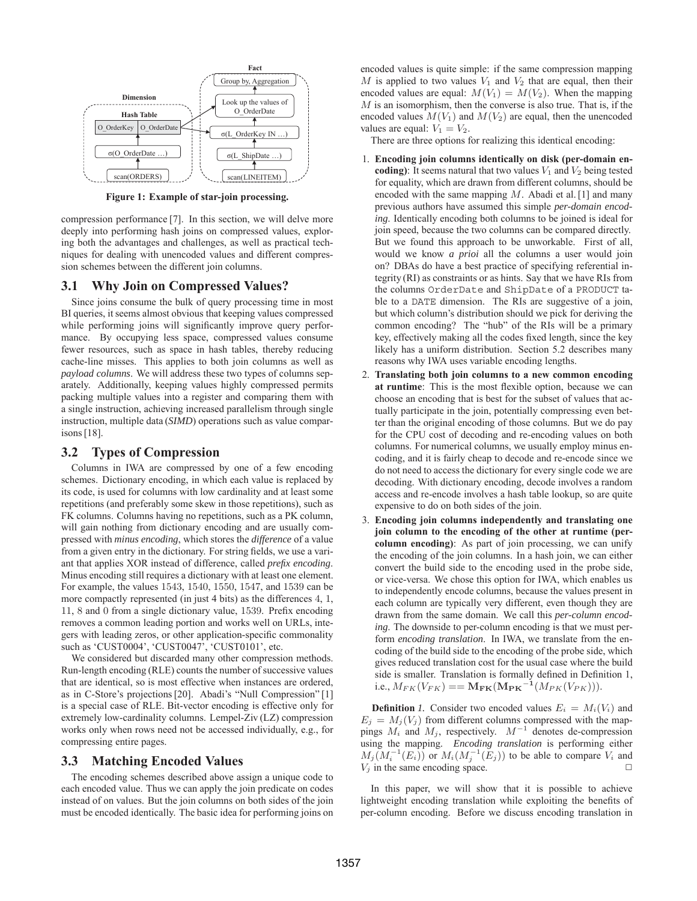

**Figure 1: Example of star-join processing.**

compression performance [7]. In this section, we will delve more deeply into performing hash joins on compressed values, exploring both the advantages and challenges, as well as practical techniques for dealing with unencoded values and different compression schemes between the different join columns.

## **3.1 Why Join on Compressed Values?**

Since joins consume the bulk of query processing time in most BI queries, it seems almost obvious that keeping values compressed while performing joins will significantly improve query performance. By occupying less space, compressed values consume fewer resources, such as space in hash tables, thereby reducing cache-line misses. This applies to both join columns as well as *payload columns*. We will address these two types of columns separately. Additionally, keeping values highly compressed permits packing multiple values into a register and comparing them with a single instruction, achieving increased parallelism through single instruction, multiple data (*SIMD*) operations such as value comparisons [18].

#### **3.2 Types of Compression**

Columns in IWA are compressed by one of a few encoding schemes. Dictionary encoding, in which each value is replaced by its code, is used for columns with low cardinality and at least some repetitions (and preferably some skew in those repetitions), such as FK columns. Columns having no repetitions, such as a PK column, will gain nothing from dictionary encoding and are usually compressed with *minus encoding*, which stores the *difference* of a value from a given entry in the dictionary. For string fields, we use a variant that applies XOR instead of difference, called *prefix encoding*. Minus encoding still requires a dictionary with at least one element. For example, the values 1543, 1540, 1550, 1547, and 1539 can be more compactly represented (in just 4 bits) as the differences 4, 1, 11, 8 and 0 from a single dictionary value, 1539. Prefix encoding removes a common leading portion and works well on URLs, integers with leading zeros, or other application-specific commonality such as 'CUST0004', 'CUST0047', 'CUST0101', etc.

We considered but discarded many other compression methods. Run-length encoding (RLE) counts the number of successive values that are identical, so is most effective when instances are ordered, as in C-Store's projections [20]. Abadi's "Null Compression" [1] is a special case of RLE. Bit-vector encoding is effective only for extremely low-cardinality columns. Lempel-Ziv (LZ) compression works only when rows need not be accessed individually, e.g., for compressing entire pages.

## **3.3 Matching Encoded Values**

The encoding schemes described above assign a unique code to each encoded value. Thus we can apply the join predicate on codes instead of on values. But the join columns on both sides of the join must be encoded identically. The basic idea for performing joins on encoded values is quite simple: if the same compression mapping M is applied to two values  $V_1$  and  $V_2$  that are equal, then their encoded values are equal:  $M(V_1) = M(V_2)$ . When the mapping  $M$  is an isomorphism, then the converse is also true. That is, if the encoded values  $M(V_1)$  and  $M(V_2)$  are equal, then the unencoded values are equal:  $V_1 = V_2$ .

There are three options for realizing this identical encoding:

- 1. **Encoding join columns identically on disk (per-domain encoding**): It seems natural that two values  $V_1$  and  $V_2$  being tested for equality, which are drawn from different columns, should be encoded with the same mapping  $M$ . Abadi et al. [1] and many previous authors have assumed this simple *per-domain encoding*. Identically encoding both columns to be joined is ideal for join speed, because the two columns can be compared directly. But we found this approach to be unworkable. First of all, would we know *a prioi* all the columns a user would join on? DBAs do have a best practice of specifying referential integrity (RI) as constraints or as hints. Say that we have RIs from the columns OrderDate and ShipDate of a PRODUCT table to a DATE dimension. The RIs are suggestive of a join, but which column's distribution should we pick for deriving the common encoding? The "hub" of the RIs will be a primary key, effectively making all the codes fixed length, since the key likely has a uniform distribution. Section 5.2 describes many reasons why IWA uses variable encoding lengths.
- 2. **Translating both join columns to a new common encoding at runtime**: This is the most flexible option, because we can choose an encoding that is best for the subset of values that actually participate in the join, potentially compressing even better than the original encoding of those columns. But we do pay for the CPU cost of decoding and re-encoding values on both columns. For numerical columns, we usually employ minus encoding, and it is fairly cheap to decode and re-encode since we do not need to access the dictionary for every single code we are decoding. With dictionary encoding, decode involves a random access and re-encode involves a hash table lookup, so are quite expensive to do on both sides of the join.
- 3. **Encoding join columns independently and translating one join column to the encoding of the other at runtime (percolumn encoding)**: As part of join processing, we can unify the encoding of the join columns. In a hash join, we can either convert the build side to the encoding used in the probe side, or vice-versa. We chose this option for IWA, which enables us to independently encode columns, because the values present in each column are typically very different, even though they are drawn from the same domain. We call this *per-column encoding*. The downside to per-column encoding is that we must perform *encoding translation*. In IWA, we translate from the encoding of the build side to the encoding of the probe side, which gives reduced translation cost for the usual case where the build side is smaller. Translation is formally defined in Definition 1, i.e.,  $M_{FK}(V_{FK}) = M_{FK}(M_{PK}^{-1}(M_{PK}(V_{PK}))).$

**Definition** *1*. Consider two encoded values  $E_i = M_i(V_i)$  and  $E_j = M_j(V_j)$  from different columns compressed with the mappings  $M_i$  and  $M_j$ , respectively.  $M^{-1}$  denotes de-compression using the mapping. *Encoding translation* is performing either  $M_j(M_i^{-1}(E_i))$  or  $M_i(M_j^{-1}(E_j))$  to be able to compare  $V_i$  and  $V_j$  in the same encoding space  $V_i$  in the same encoding space.

In this paper, we will show that it is possible to achieve lightweight encoding translation while exploiting the benefits of per-column encoding. Before we discuss encoding translation in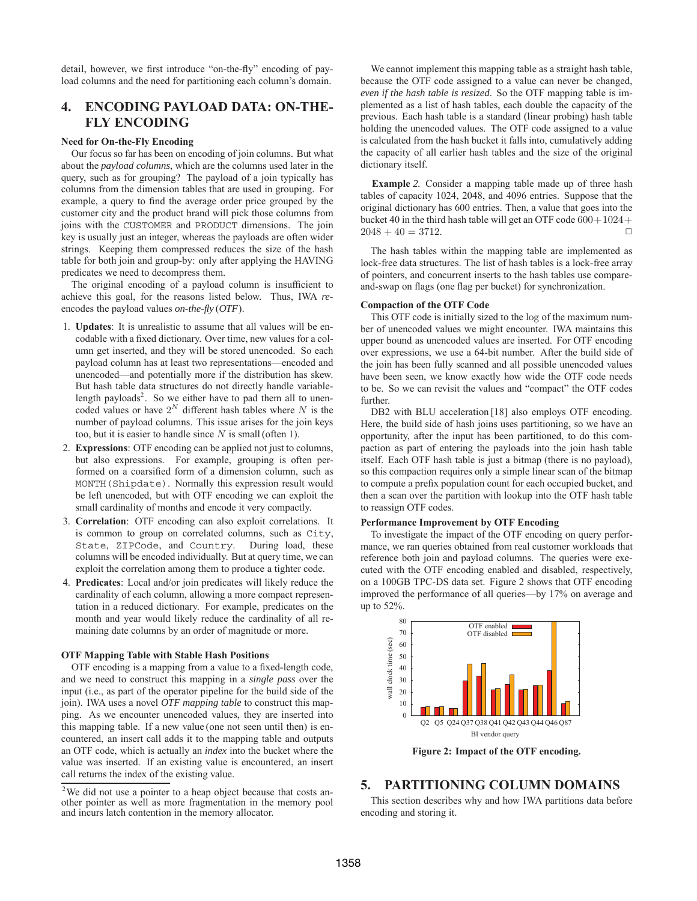detail, however, we first introduce "on-the-fly" encoding of payload columns and the need for partitioning each column's domain.

# **4. ENCODING PAYLOAD DATA: ON-THE-FLY ENCODING**

## **Need for On-the-Fly Encoding**

Our focus so far has been on encoding of join columns. But what about the *payload columns*, which are the columns used later in the query, such as for grouping? The payload of a join typically has columns from the dimension tables that are used in grouping. For example, a query to find the average order price grouped by the customer city and the product brand will pick those columns from joins with the CUSTOMER and PRODUCT dimensions. The join key is usually just an integer, whereas the payloads are often wider strings. Keeping them compressed reduces the size of the hash table for both join and group-by: only after applying the HAVING predicates we need to decompress them.

The original encoding of a payload column is insufficient to achieve this goal, for the reasons listed below. Thus, IWA *re*encodes the payload values *on-the-fly* (*OTF*).

- 1. **Updates**: It is unrealistic to assume that all values will be encodable with a fixed dictionary. Over time, new values for a column get inserted, and they will be stored unencoded. So each payload column has at least two representations—encoded and unencoded—and potentially more if the distribution has skew. But hash table data structures do not directly handle variablelength payloads<sup>2</sup>. So we either have to pad them all to unencoded values or have  $2^N$  different hash tables where N is the number of payload columns. This issue arises for the join keys too, but it is easier to handle since  $N$  is small (often 1).
- 2. **Expressions**: OTF encoding can be applied not just to columns, but also expressions. For example, grouping is often performed on a coarsified form of a dimension column, such as MONTH(Shipdate). Normally this expression result would be left unencoded, but with OTF encoding we can exploit the small cardinality of months and encode it very compactly.
- 3. **Correlation**: OTF encoding can also exploit correlations. It is common to group on correlated columns, such as City, State, ZIPCode, and Country. During load, these columns will be encoded individually. But at query time, we can exploit the correlation among them to produce a tighter code.
- 4. **Predicates**: Local and/or join predicates will likely reduce the cardinality of each column, allowing a more compact representation in a reduced dictionary. For example, predicates on the month and year would likely reduce the cardinality of all remaining date columns by an order of magnitude or more.

#### **OTF Mapping Table with Stable Hash Positions**

OTF encoding is a mapping from a value to a fixed-length code, and we need to construct this mapping in a *single pass* over the input (i.e., as part of the operator pipeline for the build side of the join). IWA uses a novel *OTF mapping table* to construct this mapping. As we encounter unencoded values, they are inserted into this mapping table. If a new value (one not seen until then) is encountered, an insert call adds it to the mapping table and outputs an OTF code, which is actually an *index* into the bucket where the value was inserted. If an existing value is encountered, an insert call returns the index of the existing value.

We cannot implement this mapping table as a straight hash table, because the OTF code assigned to a value can never be changed, *even if the hash table is resized*. So the OTF mapping table is implemented as a list of hash tables, each double the capacity of the previous. Each hash table is a standard (linear probing) hash table holding the unencoded values. The OTF code assigned to a value is calculated from the hash bucket it falls into, cumulatively adding the capacity of all earlier hash tables and the size of the original dictionary itself.

**Example** *2.* Consider a mapping table made up of three hash tables of capacity 1024, 2048, and 4096 entries. Suppose that the original dictionary has 600 entries. Then, a value that goes into the bucket 40 in the third hash table will get an OTF code  $600+1024+$  $2048 + 40 = 3712.$ 

The hash tables within the mapping table are implemented as lock-free data structures. The list of hash tables is a lock-free array of pointers, and concurrent inserts to the hash tables use compareand-swap on flags (one flag per bucket) for synchronization.

#### **Compaction of the OTF Code**

This OTF code is initially sized to the log of the maximum number of unencoded values we might encounter. IWA maintains this upper bound as unencoded values are inserted. For OTF encoding over expressions, we use a 64-bit number. After the build side of the join has been fully scanned and all possible unencoded values have been seen, we know exactly how wide the OTF code needs to be. So we can revisit the values and "compact" the OTF codes further.

DB2 with BLU acceleration [18] also employs OTF encoding. Here, the build side of hash joins uses partitioning, so we have an opportunity, after the input has been partitioned, to do this compaction as part of entering the payloads into the join hash table itself. Each OTF hash table is just a bitmap (there is no payload), so this compaction requires only a simple linear scan of the bitmap to compute a prefix population count for each occupied bucket, and then a scan over the partition with lookup into the OTF hash table to reassign OTF codes.

#### **Performance Improvement by OTF Encoding**

To investigate the impact of the OTF encoding on query performance, we ran queries obtained from real customer workloads that reference both join and payload columns. The queries were executed with the OTF encoding enabled and disabled, respectively, on a 100GB TPC-DS data set. Figure 2 shows that OTF encoding improved the performance of all queries—by 17% on average and up to 52%.



**Figure 2: Impact of the OTF encoding.**

# **5. PARTITIONING COLUMN DOMAINS**

This section describes why and how IWA partitions data before encoding and storing it.

 $2$ We did not use a pointer to a heap object because that costs another pointer as well as more fragmentation in the memory pool and incurs latch contention in the memory allocator.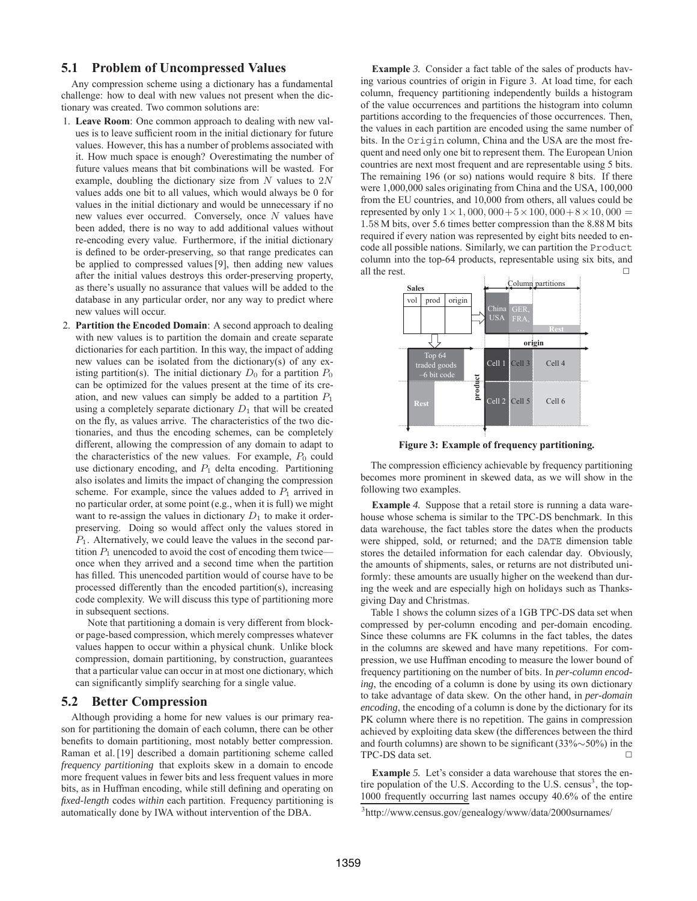# **5.1 Problem of Uncompressed Values**

Any compression scheme using a dictionary has a fundamental challenge: how to deal with new values not present when the dictionary was created. Two common solutions are:

- 1. **Leave Room**: One common approach to dealing with new values is to leave sufficient room in the initial dictionary for future values. However, this has a number of problems associated with it. How much space is enough? Overestimating the number of future values means that bit combinations will be wasted. For example, doubling the dictionary size from  $N$  values to  $2N$ values adds one bit to all values, which would always be 0 for values in the initial dictionary and would be unnecessary if no new values ever occurred. Conversely, once  $N$  values have been added, there is no way to add additional values without re-encoding every value. Furthermore, if the initial dictionary is defined to be order-preserving, so that range predicates can be applied to compressed values [9], then adding new values after the initial values destroys this order-preserving property, as there's usually no assurance that values will be added to the database in any particular order, nor any way to predict where new values will occur.
- 2. **Partition the Encoded Domain**: A second approach to dealing with new values is to partition the domain and create separate dictionaries for each partition. In this way, the impact of adding new values can be isolated from the dictionary(s) of any existing partition(s). The initial dictionary  $D_0$  for a partition  $P_0$ can be optimized for the values present at the time of its creation, and new values can simply be added to a partition  $P_1$ using a completely separate dictionary  $D_1$  that will be created on the fly, as values arrive. The characteristics of the two dictionaries, and thus the encoding schemes, can be completely different, allowing the compression of any domain to adapt to the characteristics of the new values. For example,  $P_0$  could use dictionary encoding, and  $P_1$  delta encoding. Partitioning also isolates and limits the impact of changing the compression scheme. For example, since the values added to  $P_1$  arrived in no particular order, at some point (e.g., when it is full) we might want to re-assign the values in dictionary  $D_1$  to make it orderpreserving. Doing so would affect only the values stored in  $P_1$ . Alternatively, we could leave the values in the second partition  $P_1$  unencoded to avoid the cost of encoding them twice once when they arrived and a second time when the partition has filled. This unencoded partition would of course have to be processed differently than the encoded partition(s), increasing code complexity. We will discuss this type of partitioning more in subsequent sections.

Note that partitioning a domain is very different from blockor page-based compression, which merely compresses whatever values happen to occur within a physical chunk. Unlike block compression, domain partitioning, by construction, guarantees that a particular value can occur in at most one dictionary, which can significantly simplify searching for a single value.

# **5.2 Better Compression**

Although providing a home for new values is our primary reason for partitioning the domain of each column, there can be other benefits to domain partitioning, most notably better compression. Raman et al. [19] described a domain partitioning scheme called *frequency partitioning* that exploits skew in a domain to encode more frequent values in fewer bits and less frequent values in more bits, as in Huffman encoding, while still defining and operating on *fixed-length* codes *within* each partition. Frequency partitioning is automatically done by IWA without intervention of the DBA.

**Example** *3.* Consider a fact table of the sales of products having various countries of origin in Figure 3. At load time, for each column, frequency partitioning independently builds a histogram of the value occurrences and partitions the histogram into column partitions according to the frequencies of those occurrences. Then, the values in each partition are encoded using the same number of bits. In the Origin column, China and the USA are the most frequent and need only one bit to represent them. The European Union countries are next most frequent and are representable using 5 bits. The remaining 196 (or so) nations would require 8 bits. If there were 1,000,000 sales originating from China and the USA, 100,000 from the EU countries, and 10,000 from others, all values could be represented by only  $1 \times 1$ , 000, 000 +  $5 \times 100$ , 000 +  $8 \times 10$ , 000 = 1.58 M bits, over 5.6 times better compression than the 8.88 M bits required if every nation was represented by eight bits needed to encode all possible nations. Similarly, we can partition the Product column into the top-64 products, representable using six bits, and all the rest.  $\Box$ 



**Figure 3: Example of frequency partitioning.**

The compression efficiency achievable by frequency partitioning becomes more prominent in skewed data, as we will show in the following two examples.

**Example** *4.* Suppose that a retail store is running a data warehouse whose schema is similar to the TPC-DS benchmark. In this data warehouse, the fact tables store the dates when the products were shipped, sold, or returned; and the DATE dimension table stores the detailed information for each calendar day. Obviously, the amounts of shipments, sales, or returns are not distributed uniformly: these amounts are usually higher on the weekend than during the week and are especially high on holidays such as Thanksgiving Day and Christmas.

Table 1 shows the column sizes of a 1GB TPC-DS data set when compressed by per-column encoding and per-domain encoding. Since these columns are FK columns in the fact tables, the dates in the columns are skewed and have many repetitions. For compression, we use Huffman encoding to measure the lower bound of frequency partitioning on the number of bits. In *per-column encoding*, the encoding of a column is done by using its own dictionary to take advantage of data skew. On the other hand, in *per-domain encoding*, the encoding of a column is done by the dictionary for its PK column where there is no repetition. The gains in compression achieved by exploiting data skew (the differences between the third and fourth columns) are shown to be significant (33%∼50%) in the TPC-DS data set.

**Example** *5.* Let's consider a data warehouse that stores the entire population of the U.S. According to the U.S. census<sup>3</sup>, the top-1000 frequently occurring last names occupy 40.6% of the entire

<sup>3</sup> http://www.census.gov/genealogy/www/data/2000surnames/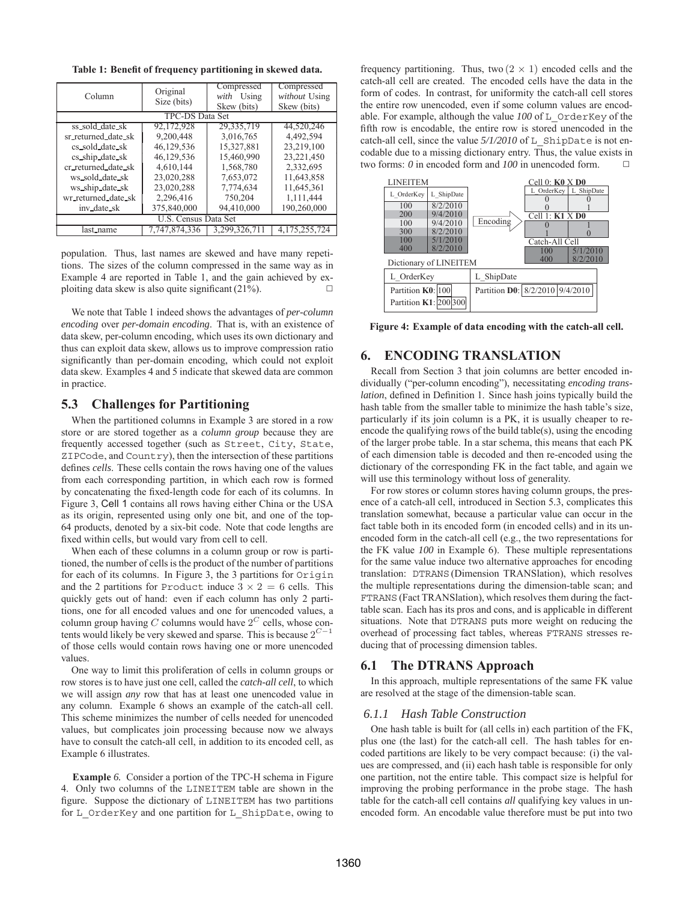**Table 1: Benefit of frequency partitioning in skewed data.**

| Column               | Original<br>Size (bits) | Compressed<br>with Using<br>Skew (bits) | Compressed<br>without Using<br>Skew (bits) |  |
|----------------------|-------------------------|-----------------------------------------|--------------------------------------------|--|
|                      | TPC-DS Data Set         |                                         |                                            |  |
| ss_sold_date_sk      | 92,172,928              | 29,335,719                              | 44,520,246                                 |  |
| sr_returned_date_sk  | 9,200,448               | 3,016,765                               | 4,492,594                                  |  |
| cs_sold_date_sk      | 46,129,536              | 15,327,881                              | 23,219,100                                 |  |
| cs_ship_date_sk      | 46.129.536              | 15,460,990                              | 23,221,450                                 |  |
| cr_returned_date_sk  | 4.610.144               | 1,568,780                               | 2,332,695                                  |  |
| ws_sold_date_sk      | 23,020,288              | 7,653,072                               | 11,643,858                                 |  |
| ws_ship_date_sk      | 23,020,288              | 7,774,634                               | 11,645,361                                 |  |
| wr_returned_date_sk  | 2,296,416               | 750,204                                 | 1,111,444                                  |  |
| inv_date_sk          | 375,840,000             | 94,410,000                              | 190,260,000                                |  |
| U.S. Census Data Set |                         |                                         |                                            |  |
| last_name            | 7,747,874,336           | 3,299,326,711                           | 4,175,255,724                              |  |

population. Thus, last names are skewed and have many repetitions. The sizes of the column compressed in the same way as in Example 4 are reported in Table 1, and the gain achieved by exploiting data skew is also quite significant  $(21\%)$ .

We note that Table 1 indeed shows the advantages of *per-column encoding* over *per-domain encoding*. That is, with an existence of data skew, per-column encoding, which uses its own dictionary and thus can exploit data skew, allows us to improve compression ratio significantly than per-domain encoding, which could not exploit data skew. Examples 4 and 5 indicate that skewed data are common in practice.

# **5.3 Challenges for Partitioning**

When the partitioned columns in Example 3 are stored in a row store or are stored together as a *column group* because they are frequently accessed together (such as Street, City, State, ZIPCode, and Country), then the intersection of these partitions defines *cells*. These cells contain the rows having one of the values from each corresponding partition, in which each row is formed by concatenating the fixed-length code for each of its columns. In Figure 3, Cell 1 contains all rows having either China or the USA as its origin, represented using only one bit, and one of the top-64 products, denoted by a six-bit code. Note that code lengths are fixed within cells, but would vary from cell to cell.

When each of these columns in a column group or row is partitioned, the number of cells is the product of the number of partitions for each of its columns. In Figure 3, the 3 partitions for Origin and the 2 partitions for Product induce  $3 \times 2 = 6$  cells. This quickly gets out of hand: even if each column has only 2 partitions, one for all encoded values and one for unencoded values, a column group having C columns would have  $2^C$  cells, whose contents would likely be very skewed and sparse. This is because  $2^{C-1}$ of those cells would contain rows having one or more unencoded values.

One way to limit this proliferation of cells in column groups or row stores is to have just one cell, called the *catch-all cell*, to which we will assign *any* row that has at least one unencoded value in any column. Example 6 shows an example of the catch-all cell. This scheme minimizes the number of cells needed for unencoded values, but complicates join processing because now we always have to consult the catch-all cell, in addition to its encoded cell, as Example 6 illustrates.

**Example** *6.* Consider a portion of the TPC-H schema in Figure 4. Only two columns of the LINEITEM table are shown in the figure. Suppose the dictionary of LINEITEM has two partitions for L\_OrderKey and one partition for L\_ShipDate, owing to

frequency partitioning. Thus, two  $(2 \times 1)$  encoded cells and the catch-all cell are created. The encoded cells have the data in the form of codes. In contrast, for uniformity the catch-all cell stores the entire row unencoded, even if some column values are encodable. For example, although the value *100* of L\_OrderKey of the fifth row is encodable, the entire row is stored unencoded in the catch-all cell, since the value *5/1/2010* of L\_ShipDate is not encodable due to a missing dictionary entry. Thus, the value exists in two forms:  $\theta$  in encoded form and  $100$  in unencoded form.  $\Box$ 



**Figure 4: Example of data encoding with the catch-all cell.**

# **6. ENCODING TRANSLATION**

Recall from Section 3 that join columns are better encoded individually ("per-column encoding"), necessitating *encoding translation*, defined in Definition 1. Since hash joins typically build the hash table from the smaller table to minimize the hash table's size, particularly if its join column is a PK, it is usually cheaper to reencode the qualifying rows of the build table(s), using the encoding of the larger probe table. In a star schema, this means that each PK of each dimension table is decoded and then re-encoded using the dictionary of the corresponding FK in the fact table, and again we will use this terminology without loss of generality.

For row stores or column stores having column groups, the presence of a catch-all cell, introduced in Section 5.3, complicates this translation somewhat, because a particular value can occur in the fact table both in its encoded form (in encoded cells) and in its unencoded form in the catch-all cell (e.g., the two representations for the FK value *100* in Example 6). These multiple representations for the same value induce two alternative approaches for encoding translation: DTRANS(Dimension TRANSlation), which resolves the multiple representations during the dimension-table scan; and FTRANS (Fact TRANSlation), which resolves them during the facttable scan. Each has its pros and cons, and is applicable in different situations. Note that DTRANS puts more weight on reducing the overhead of processing fact tables, whereas FTRANS stresses reducing that of processing dimension tables.

## **6.1 The DTRANS Approach**

In this approach, multiple representations of the same FK value are resolved at the stage of the dimension-table scan.

#### *6.1.1 Hash Table Construction*

One hash table is built for (all cells in) each partition of the FK, plus one (the last) for the catch-all cell. The hash tables for encoded partitions are likely to be very compact because: (i) the values are compressed, and (ii) each hash table is responsible for only one partition, not the entire table. This compact size is helpful for improving the probing performance in the probe stage. The hash table for the catch-all cell contains *all* qualifying key values in unencoded form. An encodable value therefore must be put into two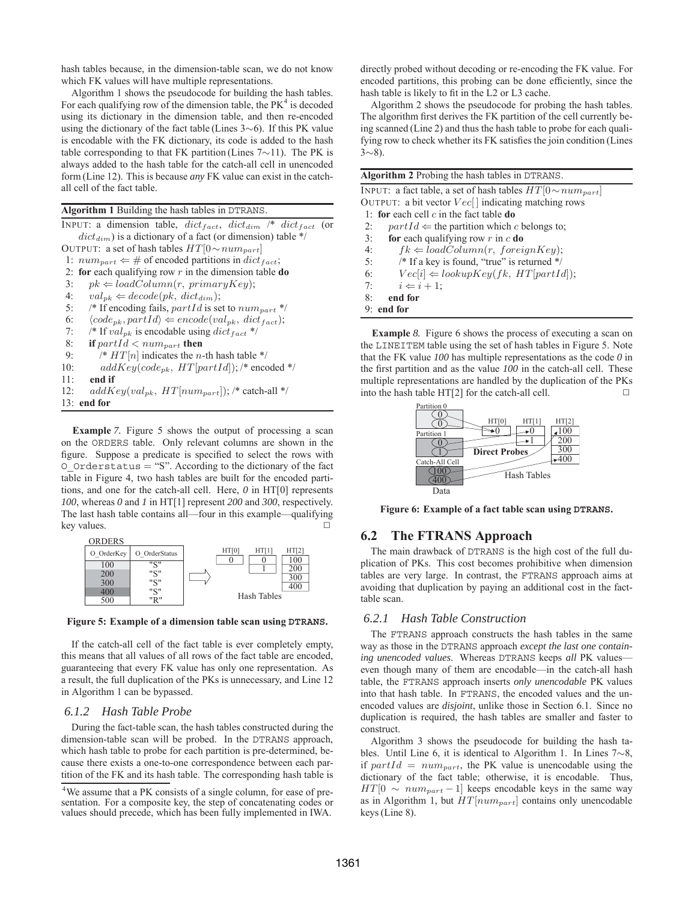hash tables because, in the dimension-table scan, we do not know which FK values will have multiple representations.

Algorithm 1 shows the pseudocode for building the hash tables. For each qualifying row of the dimension table, the  $PK<sup>4</sup>$  is decoded using its dictionary in the dimension table, and then re-encoded using the dictionary of the fact table (Lines 3∼6). If this PK value is encodable with the FK dictionary, its code is added to the hash table corresponding to that FK partition (Lines 7∼11). The PK is always added to the hash table for the catch-all cell in unencoded form (Line 12). This is because *any* FK value can exist in the catchall cell of the fact table.

#### **Algorithm 1** Building the hash tables in DTRANS.

| INPUT: a dimension table, $dict_{fact}$ , $dict_{dim}$ /* $dict_{fact}$ (or         |  |  |  |  |  |
|-------------------------------------------------------------------------------------|--|--|--|--|--|
| $dict_{dim}$ ) is a dictionary of a fact (or dimension) table */                    |  |  |  |  |  |
| OUTPUT: a set of hash tables $HT[0 \sim num_{part}]$                                |  |  |  |  |  |
| 1: $num_{part} \Leftarrow #$ of encoded partitions in $dict_{fact}$ ;               |  |  |  |  |  |
| 2: for each qualifying row $r$ in the dimension table do                            |  |  |  |  |  |
| $pk \Leftarrow loadColumn(r, primaryKey);$<br>3:                                    |  |  |  |  |  |
| 4:<br>$val_{pk} \Leftarrow decode(pk, dict_{dim});$                                 |  |  |  |  |  |
| 5:<br>/* If encoding fails, partId is set to $num_{part}$ */                        |  |  |  |  |  |
| 6:<br>$\langle code_{pk}, partId \rangle \Leftarrow encode(val_{pk}, dict_{fact});$ |  |  |  |  |  |
| /* If $val_{pk}$ is encodable using $dict_{fact}$ */<br>7:                          |  |  |  |  |  |
| if $partId < num_{part}$ then<br>8:                                                 |  |  |  |  |  |
| /* $HT[n]$ indicates the <i>n</i> -th hash table */<br>9:                           |  |  |  |  |  |
| $addKey(code_{nk}, HT[partId]);$ /* encoded */<br>10:                               |  |  |  |  |  |
| 11:<br>end if                                                                       |  |  |  |  |  |
| 12:<br>$addKey(val_{nk}, HT[num_{part}]):$ * catch-all */                           |  |  |  |  |  |
| $13:$ end for                                                                       |  |  |  |  |  |
|                                                                                     |  |  |  |  |  |

**Example** 7. Figure 5 shows the output of processing a scan on the ORDERS table. Only relevant columns are shown in the figure. Suppose a predicate is specified to select the rows with O Orderstatus  $=$  "S". According to the dictionary of the fact table in Figure 4, two hash tables are built for the encoded partitions, and one for the catch-all cell. Here, *0* in HT[0] represents *100*, whereas *0* and *1* in HT[1] represent *200* and *300*, respectively. The last hash table contains all—four in this example—qualifying key values.  $\Box$ 



#### **Figure 5: Example of a dimension table scan using DTRANS.**

If the catch-all cell of the fact table is ever completely empty, this means that all values of all rows of the fact table are encoded, guaranteeing that every FK value has only one representation. As a result, the full duplication of the PKs is unnecessary, and Line 12 in Algorithm 1 can be bypassed.

#### *6.1.2 Hash Table Probe*

During the fact-table scan, the hash tables constructed during the dimension-table scan will be probed. In the DTRANS approach, which hash table to probe for each partition is pre-determined, because there exists a one-to-one correspondence between each partition of the FK and its hash table. The corresponding hash table is

directly probed without decoding or re-encoding the FK value. For encoded partitions, this probing can be done efficiently, since the hash table is likely to fit in the L2 or L3 cache.

Algorithm 2 shows the pseudocode for probing the hash tables. The algorithm first derives the FK partition of the cell currently being scanned (Line 2) and thus the hash table to probe for each qualifying row to check whether its FK satisfies the join condition (Lines 3∼8).

| Algorithm 2 Probing the hash tables in DTRANS. |  |  |  |  |  |  |  |
|------------------------------------------------|--|--|--|--|--|--|--|
|------------------------------------------------|--|--|--|--|--|--|--|

INPUT: a fact table, a set of hash tables  $HT[0~\sim num_{part}]$ OUTPUT: a bit vector  $Vec[$  indicating matching rows

- 1: **for** each cell c in the fact table **do**
- 2:  $partId \Leftarrow$  the partition which c belongs to;
- 3: **for** each qualifying row  $r$  in  $c$  **do**
- 4:  $fk \Leftarrow loadColumn(r, foreignKey);$ <br>5: /\* If a kev is found. "true" is returned \*/
	- /\* If a key is found, "true" is returned \*/
- 6:  $Vec[i] \Leftarrow lookupKey(fk, HT[partId]);$ <br>7:  $i \Leftarrow i+1$ :
- 7:  $i \Leftarrow i + 1;$ <br>8: **end for**

9: **end for**

**Example** *8.* Figure 6 shows the process of executing a scan on the LINEITEM table using the set of hash tables in Figure 5. Note that the FK value *100* has multiple representations as the code *0* in the first partition and as the value *100* in the catch-all cell. These multiple representations are handled by the duplication of the PKs into the hash table HT[2] for the catch-all cell.  $\Box$ 



**Figure 6: Example of a fact table scan using DTRANS.**

## **6.2 The FTRANS Approach**

The main drawback of DTRANS is the high cost of the full duplication of PKs. This cost becomes prohibitive when dimension tables are very large. In contrast, the FTRANS approach aims at avoiding that duplication by paying an additional cost in the facttable scan.

#### *6.2.1 Hash Table Construction*

The FTRANS approach constructs the hash tables in the same way as those in the DTRANS approach *except the last one containing unencoded values*. Whereas DTRANS keeps *all* PK values even though many of them are encodable—in the catch-all hash table, the FTRANS approach inserts *only unencodable* PK values into that hash table. In FTRANS, the encoded values and the unencoded values are *disjoint*, unlike those in Section 6.1. Since no duplication is required, the hash tables are smaller and faster to construct.

Algorithm 3 shows the pseudocode for building the hash tables. Until Line 6, it is identical to Algorithm 1. In Lines 7∼8, if  $partId = num_{part}$ , the PK value is unencodable using the dictionary of the fact table; otherwise, it is encodable. Thus,  $HT[0 \sim num_{part}-1]$  keeps encodable keys in the same way as in Algorithm 1, but  $HT[num_{part}]$  contains only unencodable keys (Line 8).

<sup>&</sup>lt;sup>4</sup>We assume that a PK consists of a single column, for ease of presentation. For a composite key, the step of concatenating codes or values should precede, which has been fully implemented in IWA.

<sup>8:</sup> **end for**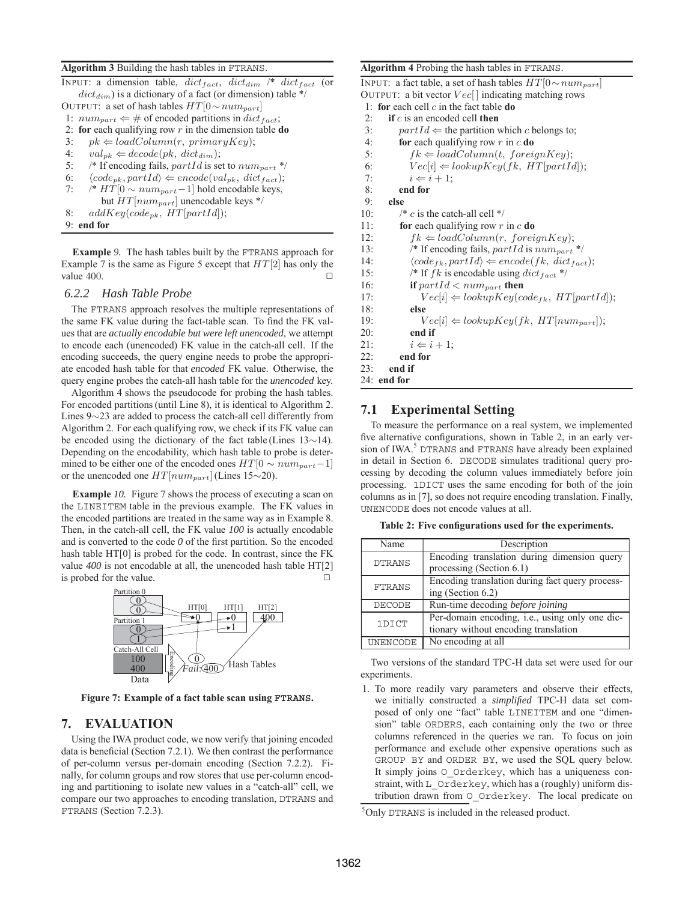#### **Algorithm 3** Building the hash tables in FTRANS.

| INPUT: a dimension table, $dict_{fact}$ , $dict_{dim}$ /* $dict_{fact}$ (or         |
|-------------------------------------------------------------------------------------|
| $dict_{dim}$ ) is a dictionary of a fact (or dimension) table */                    |
|                                                                                     |
| OUTPUT: a set of hash tables $HT[0 \sim num_{part}]$                                |
| 1: $num_{part} \Leftarrow #$ of encoded partitions in $dict_{fact}$ ;               |
| 2: for each qualifying row $r$ in the dimension table do                            |
| $pk \Leftarrow loadColumn(r, primaryKey);$<br>3:                                    |
| $val_{nk} \Leftarrow decode(pk, dict_{dim});$<br>4:                                 |
| /* If encoding fails, partId is set to $num_{part}$ */<br>5:                        |
| 6:<br>$\langle code_{pk}, partId \rangle \Leftarrow encode(val_{pk}, dict_{fact});$ |
| /* $HT[0 \sim num_{part}-1]$ hold encodable keys,<br>7:                             |
| but $HT[num_{part}]$ unencodable keys */                                            |
| $addKey(code_{pk}, HT[partId]);$<br>8:                                              |
| $9:$ end for                                                                        |
|                                                                                     |

**Example** *9.* The hash tables built by the FTRANS approach for Example 7 is the same as Figure 5 except that  $HT[2]$  has only the value 400. value  $400.$ 

## *6.2.2 Hash Table Probe*

The FTRANS approach resolves the multiple representations of the same FK value during the fact-table scan. To find the FK values that are *actually encodable but were left unencoded*, we attempt to encode each (unencoded) FK value in the catch-all cell. If the encoding succeeds, the query engine needs to probe the appropriate encoded hash table for that *encoded* FK value. Otherwise, the query engine probes the catch-all hash table for the *unencoded* key.

Algorithm 4 shows the pseudocode for probing the hash tables. For encoded partitions (until Line 8), it is identical to Algorithm 2. Lines 9∼23 are added to process the catch-all cell differently from Algorithm 2. For each qualifying row, we check if its FK value can be encoded using the dictionary of the fact table (Lines 13∼14). Depending on the encodability, which hash table to probe is determined to be either one of the encoded ones  $HT[0 \sim num_{part}-1]$ or the unencoded one  $HT[num_{part}]$  (Lines 15∼20).

**Example** 10. Figure 7 shows the process of executing a scan on the LINEITEM table in the previous example. The FK values in the encoded partitions are treated in the same way as in Example 8. Then, in the catch-all cell, the FK value *100* is actually encodable and is converted to the code *0* of the first partition. So the encoded hash table HT[0] is probed for the code. In contrast, since the FK value *400* is not encodable at all, the unencoded hash table HT[2] is probed for the value.



**Figure 7: Example of a fact table scan using FTRANS.**

#### **7. EVALUATION**

Using the IWA product code, we now verify that joining encoded data is beneficial (Section 7.2.1). We then contrast the performance of per-column versus per-domain encoding (Section 7.2.2). Finally, for column groups and row stores that use per-column encoding and partitioning to isolate new values in a "catch-all" cell, we compare our two approaches to encoding translation, DTRANS and FTRANS (Section 7.2.3).

#### **Algorithm 4** Probing the hash tables in FTRANS.

| INPUT: a fact table, a set of hash tables $HT[0 \sim num_{part}]$              |
|--------------------------------------------------------------------------------|
| OUTPUT: a bit vector $Vec[$ indicating matching rows                           |
| 1: for each cell $c$ in the fact table do                                      |
| 2:<br><b>if</b> c is an encoded cell <b>then</b>                               |
| 3:<br>$partId \Leftarrow$ the partition which c belongs to;                    |
| 4:<br>for each qualifying row $r$ in $c$ do                                    |
| 5:<br>$fk \Leftarrow loadColumn(t, foreignKey);$                               |
| 6:<br>$Vec[i] \Leftarrow lookupKey(fk, HT[partId]);$                           |
| 7:<br>$i \Leftarrow i+1$ :                                                     |
| 8:<br>end for                                                                  |
| 9:<br>else                                                                     |
| 10:<br>/* c is the catch-all cell */                                           |
| for each qualifying row $r$ in $c$ do<br>11:                                   |
| $fk \Leftarrow loadColumn(r, foreignKey);$<br>12:                              |
| /* If encoding fails, $partId$ is $num_{part}$ */<br>13:                       |
| $\langle code_{fk}, partId \rangle \Leftarrow encode(fk, dict_{fact});$<br>14: |
| /* If $fk$ is encodable using $dict_{fact}$ */<br>15:                          |
| 16:<br>if $partId < num_{part}$ then                                           |
| $Vec[i] \Leftarrow lookupKey(code_{fk}, HT[partId]);$<br>17:                   |
| 18:<br>else                                                                    |
| $Vec[i] \Leftarrow lookupKey(fk, HT[num_{part}]);$<br>19:                      |
| 20:<br>end if                                                                  |
| 21:<br>$i \Leftarrow i+1$ ;                                                    |
| 22:<br>end for                                                                 |
| 23:<br>end if                                                                  |
| $24:$ end for                                                                  |

# **7.1 Experimental Setting**

To measure the performance on a real system, we implemented five alternative configurations, shown in Table 2, in an early version of IWA.<sup>5</sup> DTRANS and FTRANS have already been explained in detail in Section 6. DECODE simulates traditional query processing by decoding the column values immediately before join processing. 1DICT uses the same encoding for both of the join columns as in [7], so does not require encoding translation. Finally, UNENCODE does not encode values at all.

**Table 2: Five configurations used for the experiments.**

| Name          | Description                                     |
|---------------|-------------------------------------------------|
| <b>DTRANS</b> | Encoding translation during dimension query     |
|               | processing (Section $6.1$ )                     |
| FTRANS        | Encoding translation during fact query process- |
|               | ing (Section $6.2$ )                            |
| DECODE        | Run-time decoding before joining                |
| 1DICT         | Per-domain encoding, i.e., using only one dic-  |
|               | tionary without encoding translation            |
| UNENCODE      | No encoding at all                              |

Two versions of the standard TPC-H data set were used for our experiments.

1. To more readily vary parameters and observe their effects, we initially constructed a *simplified* TPC-H data set composed of only one "fact" table LINEITEM and one "dimension" table ORDERS, each containing only the two or three columns referenced in the queries we ran. To focus on join performance and exclude other expensive operations such as GROUP BY and ORDER BY, we used the SQL query below. It simply joins O\_Orderkey, which has a uniqueness constraint, with L\_Orderkey, which has a (roughly) uniform distribution drawn from O\_Orderkey. The local predicate on

<sup>&</sup>lt;sup>5</sup>Only DTRANS is included in the released product.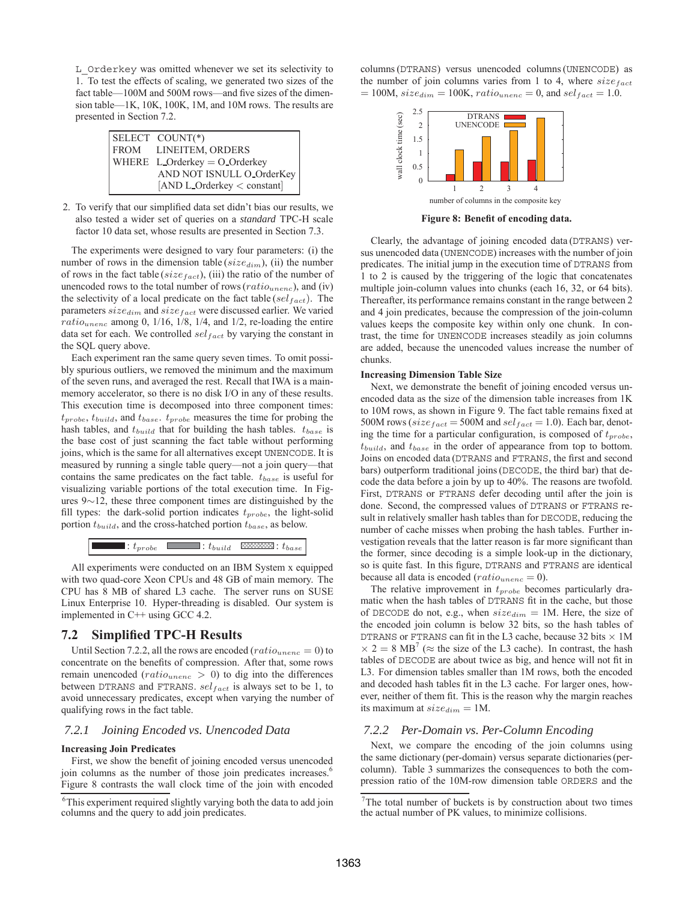L\_Orderkey was omitted whenever we set its selectivity to 1. To test the effects of scaling, we generated two sizes of the fact table—100M and 500M rows—and five sizes of the dimension table—1K, 10K, 100K, 1M, and 10M rows. The results are presented in Section 7.2.

| SELECT COUNT(*)                  |
|----------------------------------|
| FROM LINEITEM, ORDERS            |
| WHERE $L$ -Orderkey = O-Orderkey |
| AND NOT ISNULL O_OrderKey        |
| [AND L_Orderkey < constant]      |

2. To verify that our simplified data set didn't bias our results, we also tested a wider set of queries on a *standard* TPC-H scale factor 10 data set, whose results are presented in Section 7.3.

The experiments were designed to vary four parameters: (i) the number of rows in the dimension table  $(size_{dim})$ , (ii) the number of rows in the fact table ( $size_{fact}$ ), (iii) the ratio of the number of unencoded rows to the total number of rows  $(ratio_{unenc})$ , and (iv) the selectivity of a local predicate on the fact table (sel  $f_{\text{act}}$ ). The parameters  $size_{dim}$  and  $size_{fact}$  were discussed earlier. We varied  $ratio_{unenc}$  among 0, 1/16, 1/8, 1/4, and 1/2, re-loading the entire data set for each. We controlled  $self_{act}$  by varying the constant in the SQL query above.

Each experiment ran the same query seven times. To omit possibly spurious outliers, we removed the minimum and the maximum of the seven runs, and averaged the rest. Recall that IWA is a mainmemory accelerator, so there is no disk I/O in any of these results. This execution time is decomposed into three component times:  $t_{probe}$ ,  $t_{build}$ , and  $t_{base}$ .  $t_{probe}$  measures the time for probing the hash tables, and  $t_{build}$  that for building the hash tables.  $t_{base}$  is the base cost of just scanning the fact table without performing joins, which is the same for all alternatives except UNENCODE. It is measured by running a single table query—not a join query—that contains the same predicates on the fact table.  $t_{base}$  is useful for visualizing variable portions of the total execution time. In Figures 9∼12, these three component times are distinguished by the fill types: the dark-solid portion indicates  $t_{probe}$ , the light-solid portion  $t_{build}$ , and the cross-hatched portion  $t_{base}$ , as below.



All experiments were conducted on an IBM System x equipped with two quad-core Xeon CPUs and 48 GB of main memory. The CPU has 8 MB of shared L3 cache. The server runs on SUSE Linux Enterprise 10. Hyper-threading is disabled. Our system is implemented in C++ using GCC 4.2.

# **7.2 Simplified TPC-H Results**

Until Section 7.2.2, all the rows are encoded ( $ratio_{unenc} = 0$ ) to concentrate on the benefits of compression. After that, some rows remain unencoded ( $ratio_{unenc} > 0$ ) to dig into the differences between DTRANS and FTRANS.  $self_{act}$  is always set to be 1, to avoid unnecessary predicates, except when varying the number of qualifying rows in the fact table.

# *7.2.1 Joining Encoded vs. Unencoded Data*

#### **Increasing Join Predicates**

First, we show the benefit of joining encoded versus unencoded join columns as the number of those join predicates increases.<sup>6</sup> Figure 8 contrasts the wall clock time of the join with encoded columns (DTRANS) versus unencoded columns (UNENCODE) as the number of join columns varies from 1 to 4, where  $size_{fact}$  $= 100M$ ,  $size_{dim} = 100K$ ,  $ratio_{unenc} = 0$ , and  $sel_{fact} = 1.0$ .



**Figure 8: Benefit of encoding data.**

Clearly, the advantage of joining encoded data (DTRANS) versus unencoded data (UNENCODE) increases with the number of join predicates. The initial jump in the execution time of DTRANS from 1 to 2 is caused by the triggering of the logic that concatenates multiple join-column values into chunks (each 16, 32, or 64 bits). Thereafter, its performance remains constant in the range between 2 and 4 join predicates, because the compression of the join-column values keeps the composite key within only one chunk. In contrast, the time for UNENCODE increases steadily as join columns are added, because the unencoded values increase the number of chunks.

#### **Increasing Dimension Table Size**

Next, we demonstrate the benefit of joining encoded versus unencoded data as the size of the dimension table increases from 1K to 10M rows, as shown in Figure 9. The fact table remains fixed at 500M rows ( $size_{fact} = 500M$  and  $sel_{fact} = 1.0$ ). Each bar, denoting the time for a particular configuration, is composed of  $t_{probe}$ ,  $t_{build}$ , and  $t_{base}$  in the order of appearance from top to bottom. Joins on encoded data (DTRANS and FTRANS, the first and second bars) outperform traditional joins (DECODE, the third bar) that decode the data before a join by up to 40%. The reasons are twofold. First, DTRANS or FTRANS defer decoding until after the join is done. Second, the compressed values of DTRANS or FTRANS result in relatively smaller hash tables than for DECODE, reducing the number of cache misses when probing the hash tables. Further investigation reveals that the latter reason is far more significant than the former, since decoding is a simple look-up in the dictionary, so is quite fast. In this figure, DTRANS and FTRANS are identical because all data is encoded ( $ratio_{unenc} = 0$ ).

The relative improvement in  $t_{probe}$  becomes particularly dramatic when the hash tables of DTRANS fit in the cache, but those of DECODE do not, e.g., when  $size_{dim} = 1$ M. Here, the size of the encoded join column is below 32 bits, so the hash tables of DTRANS or FTRANS can fit in the L3 cache, because 32 bits  $\times$  1M  $\times$  2 = 8 MB<sup>7</sup> ( $\approx$  the size of the L3 cache). In contrast, the hash tables of DECODE are about twice as big, and hence will not fit in L3. For dimension tables smaller than 1M rows, both the encoded and decoded hash tables fit in the L3 cache. For larger ones, however, neither of them fit. This is the reason why the margin reaches its maximum at  $size_{dim} = 1$ M.

#### *7.2.2 Per-Domain vs. Per-Column Encoding*

Next, we compare the encoding of the join columns using the same dictionary (per-domain) versus separate dictionaries (percolumn). Table 3 summarizes the consequences to both the compression ratio of the 10M-row dimension table ORDERS and the

<sup>&</sup>lt;sup>6</sup>This experiment required slightly varying both the data to add join columns and the query to add join predicates.

 $7$ The total number of buckets is by construction about two times the actual number of PK values, to minimize collisions.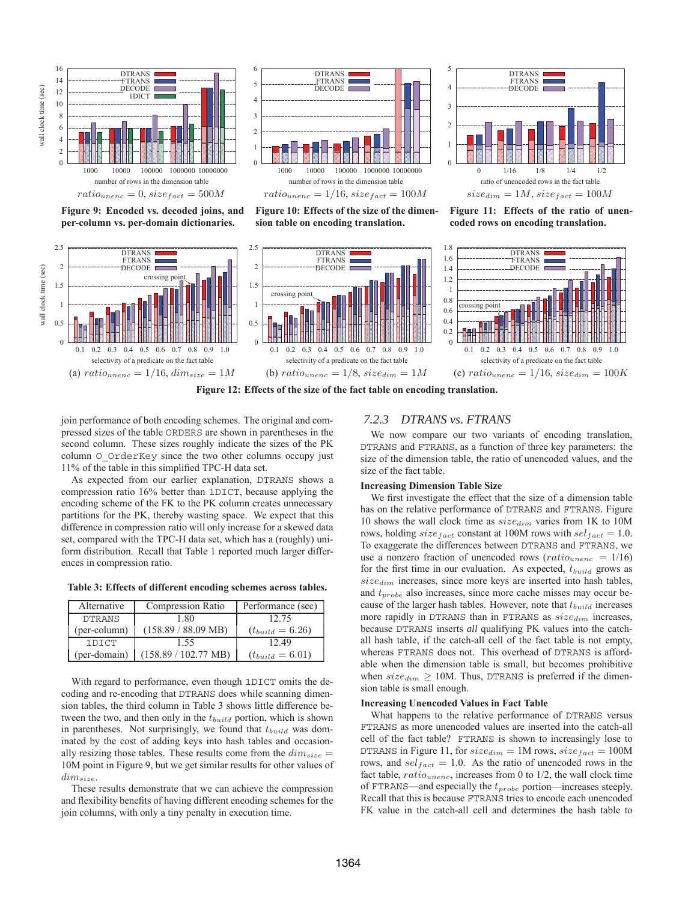

**Figure 9: Encoded vs. decoded joins, and per-column vs. per-domain dictionaries.**



**Figure 10: Effects of the size of the dimension table on encoding translation.**



**Figure 11: Effects of the ratio of unencoded rows on encoding translation.**



**Figure 12: Effects of the size of the fact table on encoding translation.**

join performance of both encoding schemes. The original and compressed sizes of the table ORDERS are shown in parentheses in the second column. These sizes roughly indicate the sizes of the PK column O\_OrderKey since the two other columns occupy just 11% of the table in this simplified TPC-H data set.

As expected from our earlier explanation, DTRANS shows a compression ratio 16% better than 1DICT, because applying the encoding scheme of the FK to the PK column creates unnecessary partitions for the PK, thereby wasting space. We expect that this difference in compression ratio will only increase for a skewed data set, compared with the TPC-H data set, which has a (roughly) uniform distribution. Recall that Table 1 reported much larger differences in compression ratio.

**Table 3: Effects of different encoding schemes across tables.**

| Alternative   | Compression Ratio              | Performance (sec)  |
|---------------|--------------------------------|--------------------|
| <b>DTRANS</b> | 180                            | 12.75              |
| (per-column)  | $(158.89 / 88.09 \text{ MB})$  | $(t_{build}=6.26)$ |
| 1DTCT         | 1.55                           | 12.49              |
| (per-domain)  | $(158.89 / 102.77 \text{ MB})$ | $(t_{build}=6.01)$ |

With regard to performance, even though 1DICT omits the decoding and re-encoding that DTRANS does while scanning dimension tables, the third column in Table 3 shows little difference between the two, and then only in the  $t_{build}$  portion, which is shown in parentheses. Not surprisingly, we found that  $t_{build}$  was dominated by the cost of adding keys into hash tables and occasionally resizing those tables. These results come from the  $dim_{size}$  = 10M point in Figure 9, but we get similar results for other values of  $dim_{size}$ .

These results demonstrate that we can achieve the compression and flexibility benefits of having different encoding schemes for the join columns, with only a tiny penalty in execution time.

# *7.2.3 DTRANS vs. FTRANS*

We now compare our two variants of encoding translation, DTRANS and FTRANS, as a function of three key parameters: the size of the dimension table, the ratio of unencoded values, and the size of the fact table.

#### **Increasing Dimension Table Size**

We first investigate the effect that the size of a dimension table has on the relative performance of DTRANS and FTRANS. Figure 10 shows the wall clock time as  $size_{dim}$  varies from 1K to 10M rows, holding  $size_{fact}$  constant at 100M rows with  $self_{act} = 1.0$ . To exaggerate the differences between DTRANS and FTRANS, we use a nonzero fraction of unencoded rows  $(ratio_{unenc} = 1/16)$ for the first time in our evaluation. As expected,  $t_{build}$  grows as  $size_{dim}$  increases, since more keys are inserted into hash tables, and  $t_{probe}$  also increases, since more cache misses may occur because of the larger hash tables. However, note that  $t_{build}$  increases more rapidly in DTRANS than in FTRANS as  $size_{dim}$  increases, because DTRANS inserts *all* qualifying PK values into the catchall hash table, if the catch-all cell of the fact table is not empty, whereas FTRANS does not. This overhead of DTRANS is affordable when the dimension table is small, but becomes prohibitive when  $size_{dim} \geq 10M$ . Thus, DTRANS is preferred if the dimension table is small enough.

#### **Increasing Unencoded Values in Fact Table**

What happens to the relative performance of DTRANS versus FTRANS as more unencoded values are inserted into the catch-all cell of the fact table? FTRANS is shown to increasingly lose to DTRANS in Figure 11, for  $size_{dim} = 1M$  rows,  $size_{fact} = 100M$ rows, and  $self_{act} = 1.0$ . As the ratio of unencoded rows in the fact table,  $ratio_{unenc}$ , increases from 0 to 1/2, the wall clock time of FTRANS—and especially the  $t_{probe}$  portion—increases steeply. Recall that this is because FTRANS tries to encode each unencoded FK value in the catch-all cell and determines the hash table to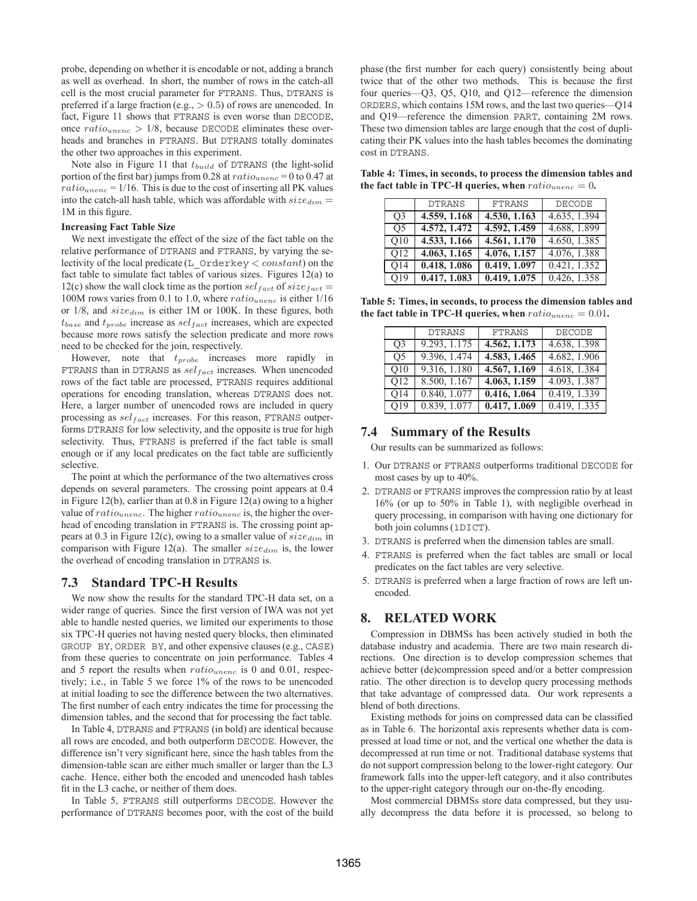probe, depending on whether it is encodable or not, adding a branch as well as overhead. In short, the number of rows in the catch-all cell is the most crucial parameter for FTRANS. Thus, DTRANS is preferred if a large fraction (e.g.,  $> 0.5$ ) of rows are unencoded. In fact, Figure 11 shows that FTRANS is even worse than DECODE, once  $ratio_{unenc} > 1/8$ , because DECODE eliminates these overheads and branches in FTRANS. But DTRANS totally dominates the other two approaches in this experiment.

Note also in Figure 11 that  $t_{build}$  of DTRANS (the light-solid portion of the first bar) jumps from 0.28 at  $ratio_{unenc} = 0$  to 0.47 at  $ratio_{unenc} = 1/16$ . This is due to the cost of inserting all PK values into the catch-all hash table, which was affordable with  $size_{dim}$  = 1M in this figure.

#### **Increasing Fact Table Size**

We next investigate the effect of the size of the fact table on the relative performance of DTRANS and FTRANS, by varying the selectivity of the local predicate (L\_Orderkey  $\lt$  *constant*) on the fact table to simulate fact tables of various sizes. Figures 12(a) to 12(c) show the wall clock time as the portion  $self_{act}$  of  $size_{fact}$  = 100M rows varies from 0.1 to 1.0, where  $ratio_{unenc}$  is either 1/16 or  $1/8$ , and  $size_{dim}$  is either 1M or 100K. In these figures, both  $t_{base}$  and  $t_{probe}$  increase as  $self_{act}$  increases, which are expected because more rows satisfy the selection predicate and more rows need to be checked for the join, respectively.

However, note that  $t_{probe}$  increases more rapidly in FTRANS than in DTRANS as  $self_{act}$  increases. When unencoded rows of the fact table are processed, FTRANS requires additional operations for encoding translation, whereas DTRANS does not. Here, a larger number of unencoded rows are included in query processing as  $selfact$  increases. For this reason, FTRANS outperforms DTRANS for low selectivity, and the opposite is true for high selectivity. Thus, FTRANS is preferred if the fact table is small enough or if any local predicates on the fact table are sufficiently selective.

The point at which the performance of the two alternatives cross depends on several parameters. The crossing point appears at 0.4 in Figure 12(b), earlier than at 0.8 in Figure 12(a) owing to a higher value of  $ratio_{unenc}$ . The higher  $ratio_{unenc}$  is, the higher the overhead of encoding translation in FTRANS is. The crossing point appears at 0.3 in Figure 12(c), owing to a smaller value of  $size_{dim}$  in comparison with Figure 12(a). The smaller  $size_{dim}$  is, the lower the overhead of encoding translation in DTRANS is.

# **7.3 Standard TPC-H Results**

We now show the results for the standard TPC-H data set, on a wider range of queries. Since the first version of IWA was not yet able to handle nested queries, we limited our experiments to those six TPC-H queries not having nested query blocks, then eliminated GROUP BY, ORDER BY, and other expensive clauses (e.g., CASE) from these queries to concentrate on join performance. Tables 4 and 5 report the results when  $ratio_{unenc}$  is 0 and 0.01, respectively; i.e., in Table 5 we force 1% of the rows to be unencoded at initial loading to see the difference between the two alternatives. The first number of each entry indicates the time for processing the dimension tables, and the second that for processing the fact table.

In Table 4, DTRANS and FTRANS (in bold) are identical because all rows are encoded, and both outperform DECODE. However, the difference isn't very significant here, since the hash tables from the dimension-table scan are either much smaller or larger than the L3 cache. Hence, either both the encoded and unencoded hash tables fit in the L3 cache, or neither of them does.

In Table 5, FTRANS still outperforms DECODE. However the performance of DTRANS becomes poor, with the cost of the build phase (the first number for each query) consistently being about twice that of the other two methods. This is because the first four queries—Q3, Q5, Q10, and Q12—reference the dimension ORDERS, which contains 15M rows, and the last two queries—Q14 and Q19—reference the dimension PART, containing 2M rows. These two dimension tables are large enough that the cost of duplicating their PK values into the hash tables becomes the dominating cost in DTRANS.

**Table 4: Times, in seconds, to process the dimension tables and the fact table in TPC-H queries, when**  $ratio_{unenc} = 0$ .

|                  | <b>DTRANS</b> | <b>FTRANS</b> | <b>DECODE</b> |
|------------------|---------------|---------------|---------------|
| O <sub>3</sub>   | 4.559, 1.168  | 4.530, 1.163  | 4.635, 1.394  |
| O <sub>5</sub>   | 4.572, 1.472  | 4.592, 1.459  | 4.688, 1.899  |
| $\overline{O10}$ | 4.533, 1.166  | 4.561, 1.170  | 4.650, 1.385  |
| 012              | 4.063, 1.165  | 4.076, 1.157  | 4.076, 1.388  |
| O <sub>14</sub>  | 0.418, 1.086  | 0.419, 1.097  | 0.421, 1.352  |
| $\overline{O19}$ | 0.417, 1.083  | 0.419, 1.075  | 0.426, 1.358  |

**Table 5: Times, in seconds, to process the dimension tables and** the fact table in TPC-H queries, when  $ratio_{unenc} = 0.01$ .

|                 | <b>DTRANS</b> | <b>FTRANS</b>              | <b>DECODE</b> |
|-----------------|---------------|----------------------------|---------------|
| O <sub>3</sub>  | 9.293, 1.175  | 4.562, 1.173               | 4.638, 1.398  |
| 05              | 9.396, 1.474  | $\overline{4.583}$ , 1.465 | 4.682, 1.906  |
| O <sub>10</sub> | 9.316, 1.180  | 4.567, 1.169               | 4.618, 1.384  |
| O <sub>12</sub> | 8.500, 1.167  | 4.063, 1.159               | 4.093, 1.387  |
| O <sub>14</sub> | 0.840, 1.077  | 0.416, 1.064               | 0.419, 1.339  |
| O19             | 0.839, 1.077  | 0.417, 1.069               | 0.419, 1.335  |

# **7.4 Summary of the Results**

Our results can be summarized as follows:

- 1. Our DTRANS or FTRANS outperforms traditional DECODE for most cases by up to 40%.
- 2. DTRANS or FTRANS improves the compression ratio by at least 16% (or up to 50% in Table 1), with negligible overhead in query processing, in comparison with having one dictionary for both join columns (1DICT).
- 3. DTRANS is preferred when the dimension tables are small.
- 4. FTRANS is preferred when the fact tables are small or local predicates on the fact tables are very selective.
- 5. DTRANS is preferred when a large fraction of rows are left unencoded.

# **8. RELATED WORK**

Compression in DBMSs has been actively studied in both the database industry and academia. There are two main research directions. One direction is to develop compression schemes that achieve better (de)compression speed and/or a better compression ratio. The other direction is to develop query processing methods that take advantage of compressed data. Our work represents a blend of both directions.

Existing methods for joins on compressed data can be classified as in Table 6. The horizontal axis represents whether data is compressed at load time or not, and the vertical one whether the data is decompressed at run time or not. Traditional database systems that do not support compression belong to the lower-right category. Our framework falls into the upper-left category, and it also contributes to the upper-right category through our on-the-fly encoding.

Most commercial DBMSs store data compressed, but they usually decompress the data before it is processed, so belong to